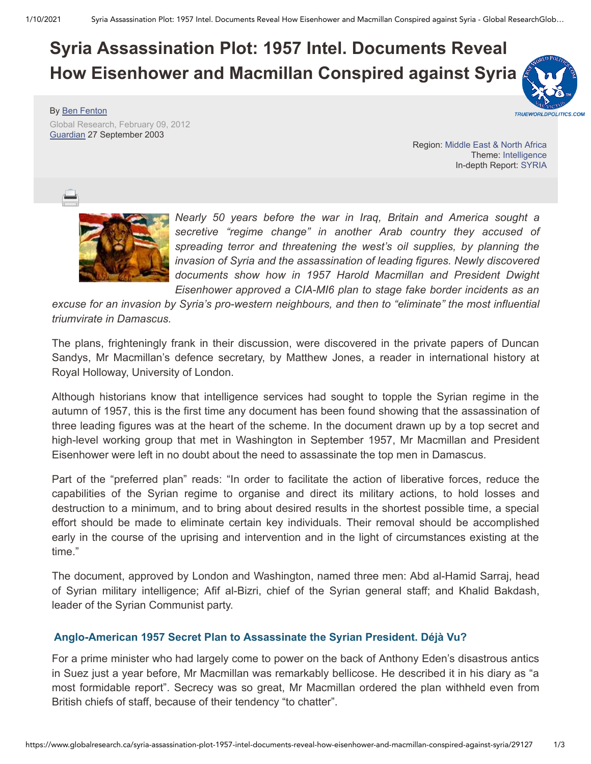## **Syria Assassination Plot: 1957 Intel. Documents Reveal How Eisenhower and Macmillan Conspired against Syria**

By [Ben Fenton](https://www.globalresearch.ca/author/ben-fenton)

Global Research, February 09, 2012 [Guardian](http://www.guardian.co.uk/politics/2003/sep/27/uk.syria1) 27 September 2003

**TRUEWORLDPOLITICS.COM** 

Region: [Middle East & North Africa](https://www.globalresearch.ca/region/middle-east) Theme: [Intelligence](https://www.globalresearch.ca/theme/intelligence) In-depth Report: [SYRIA](https://www.globalresearch.ca/indepthreport/syria-nato-s-next-war)



*Nearly 50 years before the war in Iraq, Britain and America sought a secretive "regime change" in another Arab country they accused of spreading terror and threatening the west's oil supplies, by planning the invasion of Syria and the assassination of leading figures. Newly discovered documents show how in 1957 Harold Macmillan and President Dwight Eisenhower approved a CIA-MI6 plan to stage fake border incidents as an*

*excuse for an invasion by Syria's pro-western neighbours, and then to "eliminate" the most influential triumvirate in Damascus.*

The plans, frighteningly frank in their discussion, were discovered in the private papers of Duncan Sandys, Mr Macmillan's defence secretary, by Matthew Jones, a reader in international history at Royal Holloway, University of London.

Although historians know that intelligence services had sought to topple the Syrian regime in the autumn of 1957, this is the first time any document has been found showing that the assassination of three leading figures was at the heart of the scheme. In the document drawn up by a top secret and high-level working group that met in Washington in September 1957, Mr Macmillan and President Eisenhower were left in no doubt about the need to assassinate the top men in Damascus.

Part of the "preferred plan" reads: "In order to facilitate the action of liberative forces, reduce the capabilities of the Syrian regime to organise and direct its military actions, to hold losses and destruction to a minimum, and to bring about desired results in the shortest possible time, a special effort should be made to eliminate certain key individuals. Their removal should be accomplished early in the course of the uprising and intervention and in the light of circumstances existing at the time."

The document, approved by London and Washington, named three men: Abd al-Hamid Sarraj, head of Syrian military intelligence; Afif al-Bizri, chief of the Syrian general staff; and Khalid Bakdash, leader of the Syrian Communist party.

## **[Anglo-American 1957 Secret Plan to Assassinate the Syrian President. Déjà Vu?](https://www.globalresearch.ca/anglo-american-1957-secret-plan-to-assassinate-the-syrian-president-d-j-vu/32254)**

For a prime minister who had largely come to power on the back of Anthony Eden's disastrous antics in Suez just a year before, Mr Macmillan was remarkably bellicose. He described it in his diary as "a most formidable report". Secrecy was so great, Mr Macmillan ordered the plan withheld even from British chiefs of staff, because of their tendency "to chatter".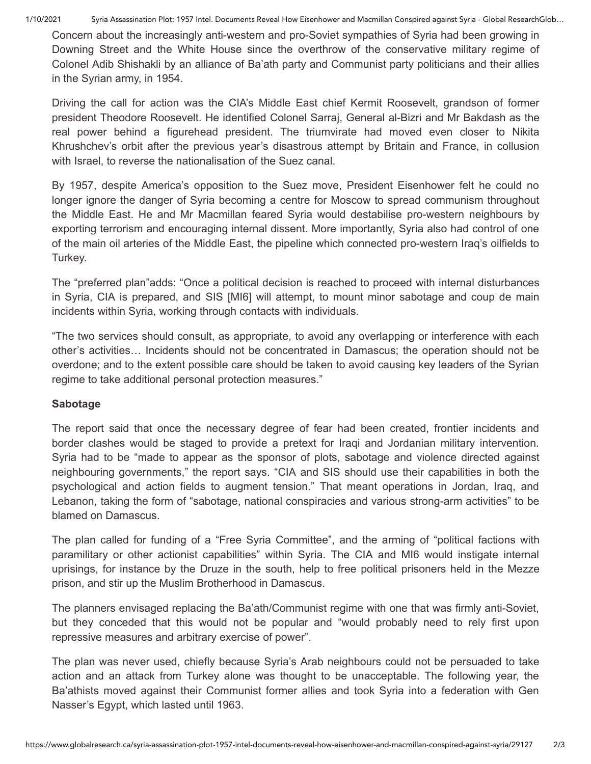1/10/2021 Syria Assassination Plot: 1957 Intel. Documents Reveal How Eisenhower and Macmillan Conspired against Syria - Global ResearchGlob…

Concern about the increasingly anti-western and pro-Soviet sympathies of Syria had been growing in Downing Street and the White House since the overthrow of the conservative military regime of Colonel Adib Shishakli by an alliance of Ba'ath party and Communist party politicians and their allies in the Syrian army, in 1954.

Driving the call for action was the CIA's Middle East chief Kermit Roosevelt, grandson of former president Theodore Roosevelt. He identified Colonel Sarraj, General al-Bizri and Mr Bakdash as the real power behind a figurehead president. The triumvirate had moved even closer to Nikita Khrushchev's orbit after the previous year's disastrous attempt by Britain and France, in collusion with Israel, to reverse the nationalisation of the Suez canal.

By 1957, despite America's opposition to the Suez move, President Eisenhower felt he could no longer ignore the danger of Syria becoming a centre for Moscow to spread communism throughout the Middle East. He and Mr Macmillan feared Syria would destabilise pro-western neighbours by exporting terrorism and encouraging internal dissent. More importantly, Syria also had control of one of the main oil arteries of the Middle East, the pipeline which connected pro-western Iraq's oilfields to Turkey.

The "preferred plan"adds: "Once a political decision is reached to proceed with internal disturbances in Syria, CIA is prepared, and SIS [MI6] will attempt, to mount minor sabotage and coup de main incidents within Syria, working through contacts with individuals.

"The two services should consult, as appropriate, to avoid any overlapping or interference with each other's activities… Incidents should not be concentrated in Damascus; the operation should not be overdone; and to the extent possible care should be taken to avoid causing key leaders of the Syrian regime to take additional personal protection measures."

## **Sabotage**

The report said that once the necessary degree of fear had been created, frontier incidents and border clashes would be staged to provide a pretext for Iraqi and Jordanian military intervention. Syria had to be "made to appear as the sponsor of plots, sabotage and violence directed against neighbouring governments," the report says. "CIA and SIS should use their capabilities in both the psychological and action fields to augment tension." That meant operations in Jordan, Iraq, and Lebanon, taking the form of "sabotage, national conspiracies and various strong-arm activities" to be blamed on Damascus.

The plan called for funding of a "Free Syria Committee", and the arming of "political factions with paramilitary or other actionist capabilities" within Syria. The CIA and MI6 would instigate internal uprisings, for instance by the Druze in the south, help to free political prisoners held in the Mezze prison, and stir up the Muslim Brotherhood in Damascus.

The planners envisaged replacing the Ba'ath/Communist regime with one that was firmly anti-Soviet, but they conceded that this would not be popular and "would probably need to rely first upon repressive measures and arbitrary exercise of power".

The plan was never used, chiefly because Syria's Arab neighbours could not be persuaded to take action and an attack from Turkey alone was thought to be unacceptable. The following year, the Ba'athists moved against their Communist former allies and took Syria into a federation with Gen Nasser's Egypt, which lasted until 1963.